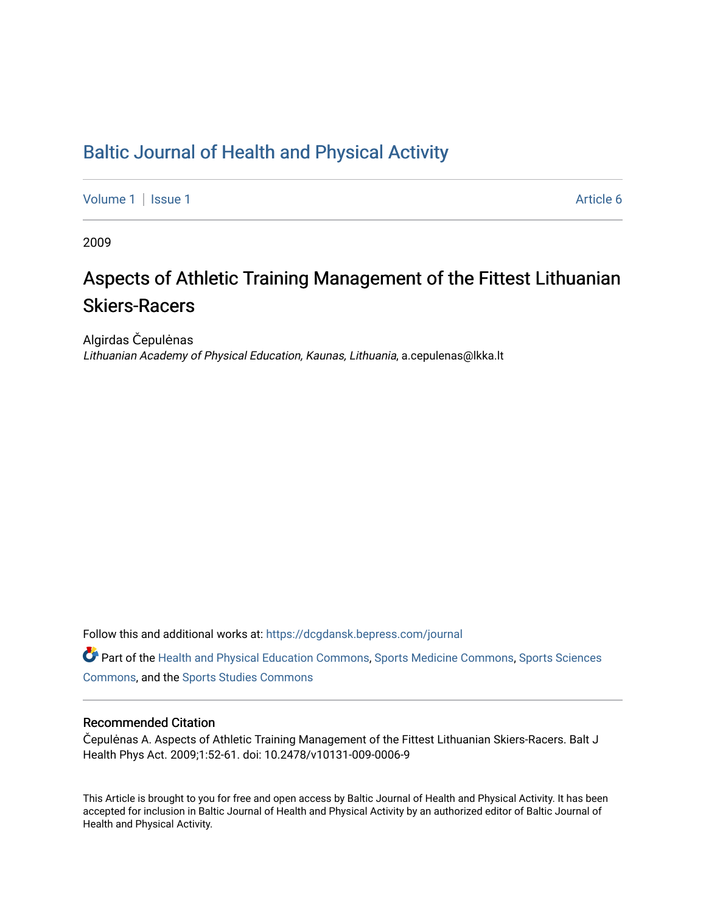# [Baltic Journal of Health and Physical Activity](https://dcgdansk.bepress.com/journal)

[Volume 1](https://dcgdansk.bepress.com/journal/vol1) | [Issue 1](https://dcgdansk.bepress.com/journal/vol1/iss1) Article 6

2009

# Aspects of Athletic Training Management of the Fittest Lithuanian Skiers-Racers

Algirdas Čepulėnas Lithuanian Academy of Physical Education, Kaunas, Lithuania, a.cepulenas@lkka.lt

Follow this and additional works at: [https://dcgdansk.bepress.com/journal](https://dcgdansk.bepress.com/journal?utm_source=dcgdansk.bepress.com%2Fjournal%2Fvol1%2Fiss1%2F6&utm_medium=PDF&utm_campaign=PDFCoverPages)

Part of the [Health and Physical Education Commons](http://network.bepress.com/hgg/discipline/1327?utm_source=dcgdansk.bepress.com%2Fjournal%2Fvol1%2Fiss1%2F6&utm_medium=PDF&utm_campaign=PDFCoverPages), [Sports Medicine Commons,](http://network.bepress.com/hgg/discipline/1331?utm_source=dcgdansk.bepress.com%2Fjournal%2Fvol1%2Fiss1%2F6&utm_medium=PDF&utm_campaign=PDFCoverPages) [Sports Sciences](http://network.bepress.com/hgg/discipline/759?utm_source=dcgdansk.bepress.com%2Fjournal%2Fvol1%2Fiss1%2F6&utm_medium=PDF&utm_campaign=PDFCoverPages) [Commons](http://network.bepress.com/hgg/discipline/759?utm_source=dcgdansk.bepress.com%2Fjournal%2Fvol1%2Fiss1%2F6&utm_medium=PDF&utm_campaign=PDFCoverPages), and the [Sports Studies Commons](http://network.bepress.com/hgg/discipline/1198?utm_source=dcgdansk.bepress.com%2Fjournal%2Fvol1%2Fiss1%2F6&utm_medium=PDF&utm_campaign=PDFCoverPages) 

#### Recommended Citation

Čepulėnas A. Aspects of Athletic Training Management of the Fittest Lithuanian Skiers-Racers. Balt J Health Phys Act. 2009;1:52-61. doi: 10.2478/v10131-009-0006-9

This Article is brought to you for free and open access by Baltic Journal of Health and Physical Activity. It has been accepted for inclusion in Baltic Journal of Health and Physical Activity by an authorized editor of Baltic Journal of Health and Physical Activity.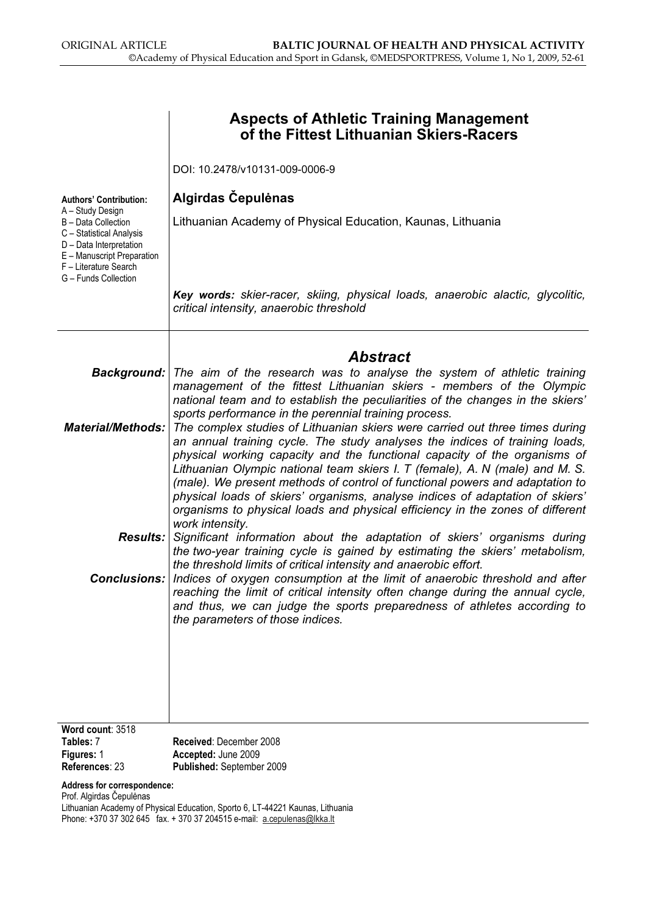|                                                                                                                                                           | <b>Aspects of Athletic Training Management</b><br>of the Fittest Lithuanian Skiers-Racers                                                                                                                                                                                                                                                                                                                                                                                                                                                                                                                                                              |
|-----------------------------------------------------------------------------------------------------------------------------------------------------------|--------------------------------------------------------------------------------------------------------------------------------------------------------------------------------------------------------------------------------------------------------------------------------------------------------------------------------------------------------------------------------------------------------------------------------------------------------------------------------------------------------------------------------------------------------------------------------------------------------------------------------------------------------|
|                                                                                                                                                           | DOI: 10.2478/v10131-009-0006-9                                                                                                                                                                                                                                                                                                                                                                                                                                                                                                                                                                                                                         |
| <b>Authors' Contribution:</b><br>A - Study Design                                                                                                         | Algirdas Čepulėnas                                                                                                                                                                                                                                                                                                                                                                                                                                                                                                                                                                                                                                     |
| B - Data Collection<br>C - Statistical Analysis<br>D - Data Interpretation<br>E - Manuscript Preparation<br>F - Literature Search<br>G - Funds Collection | Lithuanian Academy of Physical Education, Kaunas, Lithuania                                                                                                                                                                                                                                                                                                                                                                                                                                                                                                                                                                                            |
|                                                                                                                                                           | Key words: skier-racer, skiing, physical loads, anaerobic alactic, glycolitic,<br>critical intensity, anaerobic threshold                                                                                                                                                                                                                                                                                                                                                                                                                                                                                                                              |
|                                                                                                                                                           | <b>Abstract</b>                                                                                                                                                                                                                                                                                                                                                                                                                                                                                                                                                                                                                                        |
|                                                                                                                                                           | <b>Background:</b> The aim of the research was to analyse the system of athletic training<br>management of the fittest Lithuanian skiers - members of the Olympic<br>national team and to establish the peculiarities of the changes in the skiers'                                                                                                                                                                                                                                                                                                                                                                                                    |
| <b>Material/Methods:</b>                                                                                                                                  | sports performance in the perennial training process.<br>The complex studies of Lithuanian skiers were carried out three times during<br>an annual training cycle. The study analyses the indices of training loads,<br>physical working capacity and the functional capacity of the organisms of<br>Lithuanian Olympic national team skiers I. T (female), A. N (male) and M. S.<br>(male). We present methods of control of functional powers and adaptation to<br>physical loads of skiers' organisms, analyse indices of adaptation of skiers'<br>organisms to physical loads and physical efficiency in the zones of different<br>work intensity. |
| <b>Results:</b>                                                                                                                                           | Significant information about the adaptation of skiers' organisms during<br>the two-year training cycle is gained by estimating the skiers' metabolism,<br>the threshold limits of critical intensity and anaerobic effort.                                                                                                                                                                                                                                                                                                                                                                                                                            |
|                                                                                                                                                           | <b>Conclusions:</b>   Indices of oxygen consumption at the limit of anaerobic threshold and after<br>reaching the limit of critical intensity often change during the annual cycle,<br>and thus, we can judge the sports preparedness of athletes according to<br>the parameters of those indices.                                                                                                                                                                                                                                                                                                                                                     |
|                                                                                                                                                           |                                                                                                                                                                                                                                                                                                                                                                                                                                                                                                                                                                                                                                                        |
| Word count: 3518<br>Tables: 7                                                                                                                             | Received: December 2008                                                                                                                                                                                                                                                                                                                                                                                                                                                                                                                                                                                                                                |
| Figures: 1<br>References: 23                                                                                                                              | Accepted: June 2009<br>Published: September 2009                                                                                                                                                                                                                                                                                                                                                                                                                                                                                                                                                                                                       |
| Address for correspondence:                                                                                                                               |                                                                                                                                                                                                                                                                                                                                                                                                                                                                                                                                                                                                                                                        |

Prof. Algirdas Čepulėnas

Lithuanian Academy of Physical Education, Sporto 6, LT-44221 Kaunas, Lithuania Phone: +370 37 302 645 fax. + 370 37 204515 e-mail: a.cepulenas@lkka.lt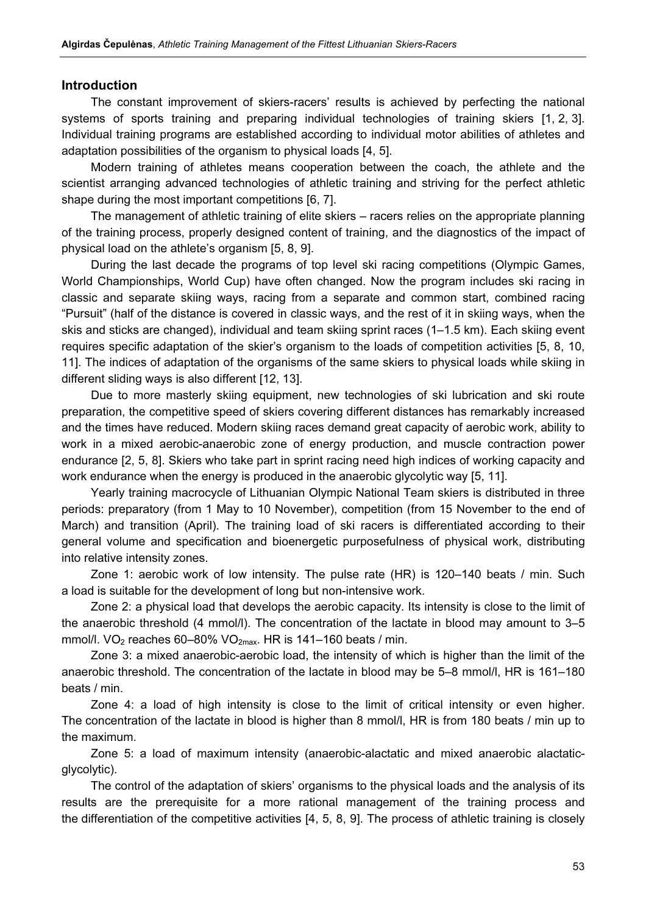#### Introduction

The constant improvement of skiers-racers' results is achieved by perfecting the national systems of sports training and preparing individual technologies of training skiers [1, 2, 3]. Individual training programs are established according to individual motor abilities of athletes and adaptation possibilities of the organism to physical loads [4, 5].

Modern training of athletes means cooperation between the coach, the athlete and the scientist arranging advanced technologies of athletic training and striving for the perfect athletic shape during the most important competitions [6, 7].

The management of athletic training of elite skiers – racers relies on the appropriate planning of the training process, properly designed content of training, and the diagnostics of the impact of physical load on the athlete's organism [5, 8, 9].

During the last decade the programs of top level ski racing competitions (Olympic Games, World Championships, World Cup) have often changed. Now the program includes ski racing in classic and separate skiing ways, racing from a separate and common start, combined racing "Pursuit" (half of the distance is covered in classic ways, and the rest of it in skiing ways, when the skis and sticks are changed), individual and team skiing sprint races (1–1.5 km). Each skiing event requires specific adaptation of the skier's organism to the loads of competition activities [5, 8, 10, 11]. The indices of adaptation of the organisms of the same skiers to physical loads while skiing in different sliding ways is also different [12, 13].

Due to more masterly skiing equipment, new technologies of ski lubrication and ski route preparation, the competitive speed of skiers covering different distances has remarkably increased and the times have reduced. Modern skiing races demand great capacity of aerobic work, ability to work in a mixed aerobic-anaerobic zone of energy production, and muscle contraction power endurance [2, 5, 8]. Skiers who take part in sprint racing need high indices of working capacity and work endurance when the energy is produced in the anaerobic glycolytic way [5, 11].

Yearly training macrocycle of Lithuanian Olympic National Team skiers is distributed in three periods: preparatory (from 1 May to 10 November), competition (from 15 November to the end of March) and transition (April). The training load of ski racers is differentiated according to their general volume and specification and bioenergetic purposefulness of physical work, distributing into relative intensity zones.

Zone 1: aerobic work of low intensity. The pulse rate (HR) is 120–140 beats / min. Such a load is suitable for the development of long but non-intensive work.

Zone 2: a physical load that develops the aerobic capacity. Its intensity is close to the limit of the anaerobic threshold (4 mmol/l). The concentration of the lactate in blood may amount to 3–5 mmol/l. VO<sub>2</sub> reaches 60–80% VO<sub>2max</sub>. HR is 141–160 beats / min.

Zone 3: a mixed anaerobic-aerobic load, the intensity of which is higher than the limit of the anaerobic threshold. The concentration of the lactate in blood may be 5–8 mmol/l, HR is 161–180 beats / min.

Zone 4: a load of high intensity is close to the limit of critical intensity or even higher. The concentration of the lactate in blood is higher than 8 mmol/l, HR is from 180 beats / min up to the maximum.

Zone 5: a load of maximum intensity (anaerobic-alactatic and mixed anaerobic alactaticglycolytic).

The control of the adaptation of skiers' organisms to the physical loads and the analysis of its results are the prerequisite for a more rational management of the training process and the differentiation of the competitive activities [4, 5, 8, 9]. The process of athletic training is closely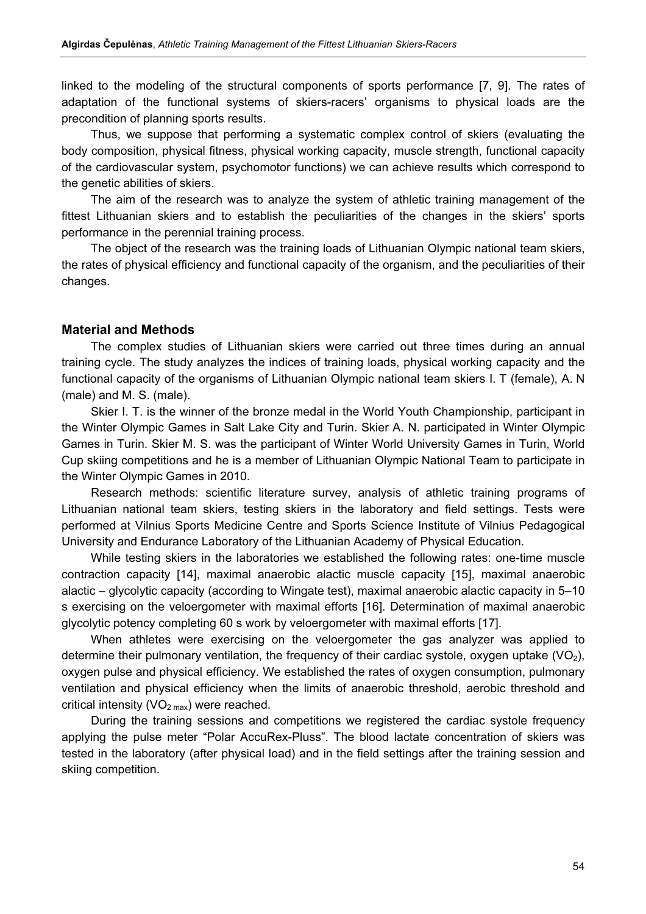linked to the modeling of the structural components of sports performance [7, 9]. The rates of adaptation of the functional systems of skiers-racers' organisms to physical loads are the precondition of planning sports results.

Thus, we suppose that performing a systematic complex control of skiers (evaluating the body composition, physical fitness, physical working capacity, muscle strength, functional capacity of the cardiovascular system, psychomotor functions) we can achieve results which correspond to the genetic abilities of skiers.

The aim of the research was to analyze the system of athletic training management of the fittest Lithuanian skiers and to establish the peculiarities of the changes in the skiers' sports performance in the perennial training process.

The object of the research was the training loads of Lithuanian Olympic national team skiers, the rates of physical efficiency and functional capacity of the organism, and the peculiarities of their changes.

#### Material and Methods

The complex studies of Lithuanian skiers were carried out three times during an annual training cycle. The study analyzes the indices of training loads, physical working capacity and the functional capacity of the organisms of Lithuanian Olympic national team skiers I. T (female), A. N (male) and M. S. (male).

Skier I. T. is the winner of the bronze medal in the World Youth Championship, participant in the Winter Olympic Games in Salt Lake City and Turin. Skier A. N. participated in Winter Olympic Games in Turin. Skier M. S. was the participant of Winter World University Games in Turin, World Cup skiing competitions and he is a member of Lithuanian Olympic National Team to participate in the Winter Olympic Games in 2010.

Research methods: scientific literature survey, analysis of athletic training programs of Lithuanian national team skiers, testing skiers in the laboratory and field settings. Tests were performed at Vilnius Sports Medicine Centre and Sports Science Institute of Vilnius Pedagogical University and Endurance Laboratory of the Lithuanian Academy of Physical Education.

While testing skiers in the laboratories we established the following rates: one-time muscle contraction capacity [14], maximal anaerobic alactic muscle capacity [15], maximal anaerobic alactic – glycolytic capacity (according to Wingate test), maximal anaerobic alactic capacity in 5–10 s exercising on the veloergometer with maximal efforts [16]. Determination of maximal anaerobic glycolytic potency completing 60 s work by veloergometer with maximal efforts [17].

When athletes were exercising on the veloergometer the gas analyzer was applied to determine their pulmonary ventilation, the frequency of their cardiac systole, oxygen uptake  $(VO<sub>2</sub>)$ , oxygen pulse and physical efficiency. We established the rates of oxygen consumption, pulmonary ventilation and physical efficiency when the limits of anaerobic threshold, aerobic threshold and critical intensity ( $VO<sub>2 max</sub>$ ) were reached.

During the training sessions and competitions we registered the cardiac systole frequency applying the pulse meter "Polar AccuRex-Pluss". The blood lactate concentration of skiers was tested in the laboratory (after physical load) and in the field settings after the training session and skiing competition.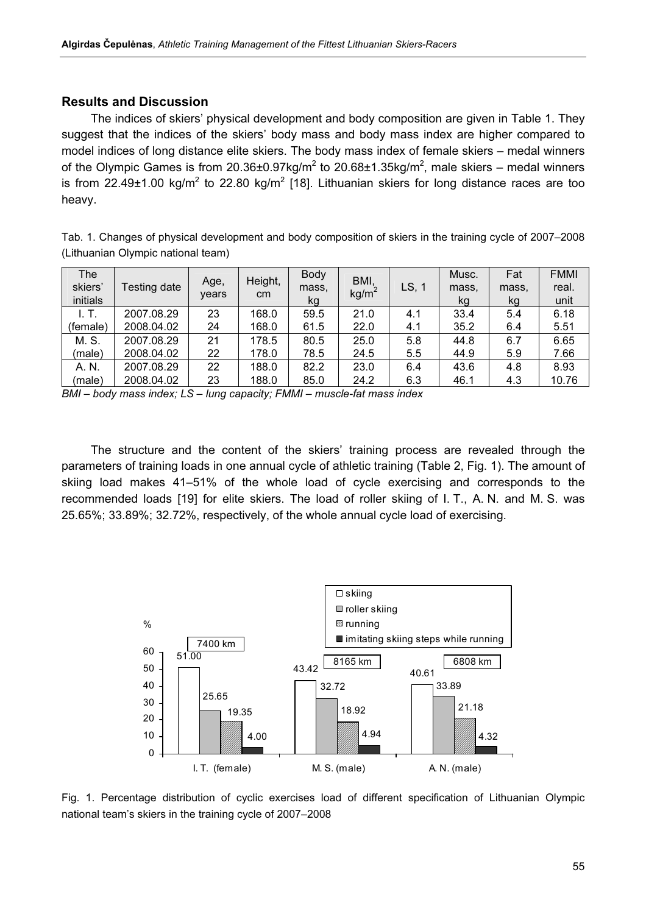#### Results and Discussion

The indices of skiers' physical development and body composition are given in Table 1. They suggest that the indices of the skiers' body mass and body mass index are higher compared to model indices of long distance elite skiers. The body mass index of female skiers – medal winners of the Olympic Games is from 20.36±0.97kg/m<sup>2</sup> to 20.68±1.35kg/m<sup>2</sup>, male skiers – medal winners is from 22.49±1.00 kg/m<sup>2</sup> to 22.80 kg/m<sup>2</sup> [18]. Lithuanian skiers for long distance races are too heavy.

Tab. 1. Changes of physical development and body composition of skiers in the training cycle of 2007–2008 (Lithuanian Olympic national team)

| <b>The</b><br>skiers'<br>initials | Testing date | Age,<br>vears | Height,<br>cm | <b>Body</b><br>mass.<br>kg | BMI,<br>kg/m <sup>2</sup> | LS, 1 | Musc.<br>mass.<br>kg | Fat<br>mass,<br>kg | <b>FMMI</b><br>real.<br>unit |
|-----------------------------------|--------------|---------------|---------------|----------------------------|---------------------------|-------|----------------------|--------------------|------------------------------|
| I. T.                             | 2007.08.29   | 23            | 168.0         | 59.5                       | 21.0                      | 4.1   | 33.4                 | 5.4                | 6.18                         |
| (female)                          | 2008.04.02   | 24            | 168.0         | 61.5                       | 22.0                      | 4.1   | 35.2                 | 6.4                | 5.51                         |
| M. S.                             | 2007.08.29   | 21            | 178.5         | 80.5                       | 25.0                      | 5.8   | 44.8                 | 6.7                | 6.65                         |
| (male)                            | 2008.04.02   | 22            | 178.0         | 78.5                       | 24.5                      | 5.5   | 44.9                 | 5.9                | 7.66                         |
| A. N.                             | 2007.08.29   | 22            | 188.0         | 82.2                       | 23.0                      | 6.4   | 43.6                 | 4.8                | 8.93                         |
| (male)                            | 2008.04.02   | 23            | 188.0         | 85.0                       | 24.2                      | 6.3   | 46.1                 | 4.3                | 10.76                        |

BMI – body mass index; LS – lung capacity; FMMI – muscle-fat mass index

The structure and the content of the skiers' training process are revealed through the parameters of training loads in one annual cycle of athletic training (Table 2, Fig. 1). The amount of skiing load makes 41–51% of the whole load of cycle exercising and corresponds to the recommended loads [19] for elite skiers. The load of roller skiing of I. T., A. N. and M. S. was 25.65%; 33.89%; 32.72%, respectively, of the whole annual cycle load of exercising.



Fig. 1. Percentage distribution of cyclic exercises load of different specification of Lithuanian Olympic national team's skiers in the training cycle of 2007–2008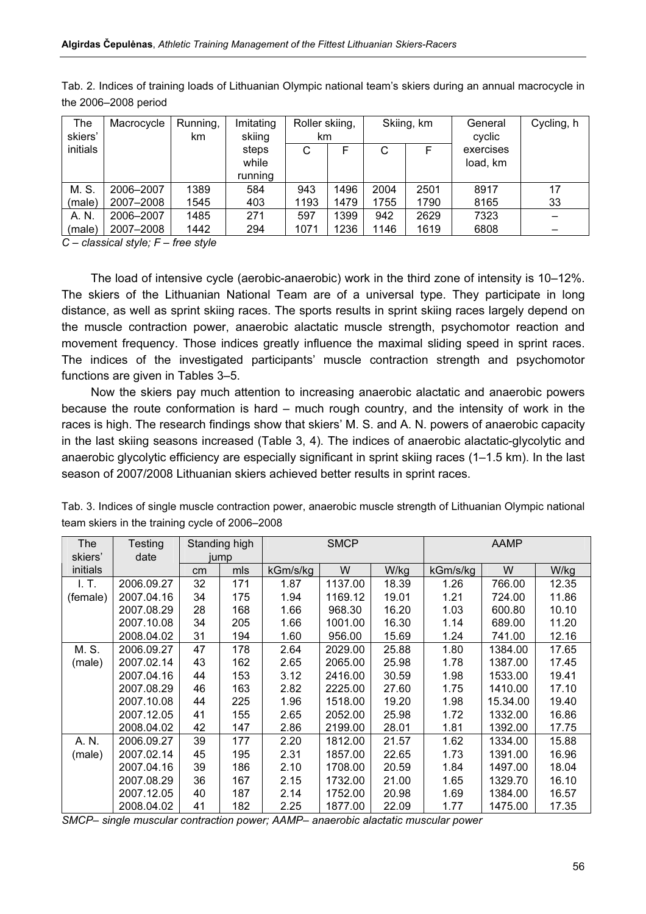| The      | Macrocycle | Running, | Imitating | Roller skiing, |      |      | Skiing, km | General   | Cycling, h |
|----------|------------|----------|-----------|----------------|------|------|------------|-----------|------------|
| skiers'  |            | km.      | skiing    | km             |      |      |            | cyclic    |            |
| initials |            |          | steps     | С              | F    | С    |            | exercises |            |
|          |            |          | while     |                |      |      |            | load, km  |            |
|          |            |          | running   |                |      |      |            |           |            |
| M. S.    | 2006-2007  | 1389     | 584       | 943            | 1496 | 2004 | 2501       | 8917      | 17         |
| (male)   | 2007-2008  | 1545     | 403       | 1193           | 1479 | 1755 | 1790       | 8165      | 33         |
| A. N.    | 2006-2007  | 1485     | 271       | 597            | 1399 | 942  | 2629       | 7323      |            |
| (male)   | 2007-2008  | 1442     | 294       | 1071           | 1236 | 1146 | 1619       | 6808      |            |

Tab. 2. Indices of training loads of Lithuanian Olympic national team's skiers during an annual macrocycle in the 2006–2008 period

 $C$  – classical style;  $F$  – free style

The load of intensive cycle (aerobic-anaerobic) work in the third zone of intensity is 10–12%. The skiers of the Lithuanian National Team are of a universal type. They participate in long distance, as well as sprint skiing races. The sports results in sprint skiing races largely depend on the muscle contraction power, anaerobic alactatic muscle strength, psychomotor reaction and movement frequency. Those indices greatly influence the maximal sliding speed in sprint races. The indices of the investigated participants' muscle contraction strength and psychomotor functions are given in Tables 3–5.

Now the skiers pay much attention to increasing anaerobic alactatic and anaerobic powers because the route conformation is hard – much rough country, and the intensity of work in the races is high. The research findings show that skiers' M. S. and A. N. powers of anaerobic capacity in the last skiing seasons increased (Table 3, 4). The indices of anaerobic alactatic-glycolytic and anaerobic glycolytic efficiency are especially significant in sprint skiing races (1–1.5 km). In the last season of 2007/2008 Lithuanian skiers achieved better results in sprint races.

| The<br>skiers' | Testing<br>date | Standing high<br>jump |     |          | <b>SMCP</b> |       |          | AAMP     |       |
|----------------|-----------------|-----------------------|-----|----------|-------------|-------|----------|----------|-------|
| initials       |                 | cm <sub>2</sub>       | mls | kGm/s/kg | W           | W/kg  | kGm/s/kg | W        | W/kg  |
| I. T.          | 2006.09.27      | 32                    | 171 | 1.87     | 1137.00     | 18.39 | 1.26     | 766.00   | 12.35 |
| (female)       | 2007.04.16      | 34                    | 175 | 1.94     | 1169.12     | 19.01 | 1.21     | 724.00   | 11.86 |
|                | 2007.08.29      | 28                    | 168 | 1.66     | 968.30      | 16.20 | 1.03     | 600.80   | 10.10 |
|                | 2007.10.08      | 34                    | 205 | 1.66     | 1001.00     | 16.30 | 1.14     | 689.00   | 11.20 |
|                | 2008.04.02      | 31                    | 194 | 1.60     | 956.00      | 15.69 | 1.24     | 741.00   | 12.16 |
| M. S.          | 2006.09.27      | 47                    | 178 | 2.64     | 2029.00     | 25.88 | 1.80     | 1384.00  | 17.65 |
| (male)         | 2007.02.14      | 43                    | 162 | 2.65     | 2065.00     | 25.98 | 1.78     | 1387.00  | 17.45 |
|                | 2007.04.16      | 44                    | 153 | 3.12     | 2416.00     | 30.59 | 1.98     | 1533.00  | 19.41 |
|                | 2007.08.29      | 46                    | 163 | 2.82     | 2225.00     | 27.60 | 1.75     | 1410.00  | 17.10 |
|                | 2007.10.08      | 44                    | 225 | 1.96     | 1518.00     | 19.20 | 1.98     | 15.34.00 | 19.40 |
|                | 2007.12.05      | 41                    | 155 | 2.65     | 2052.00     | 25.98 | 1.72     | 1332.00  | 16.86 |
|                | 2008.04.02      | 42                    | 147 | 2.86     | 2199.00     | 28.01 | 1.81     | 1392.00  | 17.75 |
| A. N.          | 2006.09.27      | 39                    | 177 | 2.20     | 1812.00     | 21.57 | 1.62     | 1334.00  | 15.88 |
| (male)         | 2007.02.14      | 45                    | 195 | 2.31     | 1857.00     | 22.65 | 1.73     | 1391.00  | 16.96 |
|                | 2007.04.16      | 39                    | 186 | 2.10     | 1708.00     | 20.59 | 1.84     | 1497.00  | 18.04 |
|                | 2007.08.29      | 36                    | 167 | 2.15     | 1732.00     | 21.00 | 1.65     | 1329.70  | 16.10 |
|                | 2007.12.05      | 40                    | 187 | 2.14     | 1752.00     | 20.98 | 1.69     | 1384.00  | 16.57 |
|                | 2008.04.02      | 41                    | 182 | 2.25     | 1877.00     | 22.09 | 1.77     | 1475.00  | 17.35 |

Tab. 3. Indices of single muscle contraction power, anaerobic muscle strength of Lithuanian Olympic national team skiers in the training cycle of 2006–2008

SMCP– single muscular contraction power; AAMP– anaerobic alactatic muscular power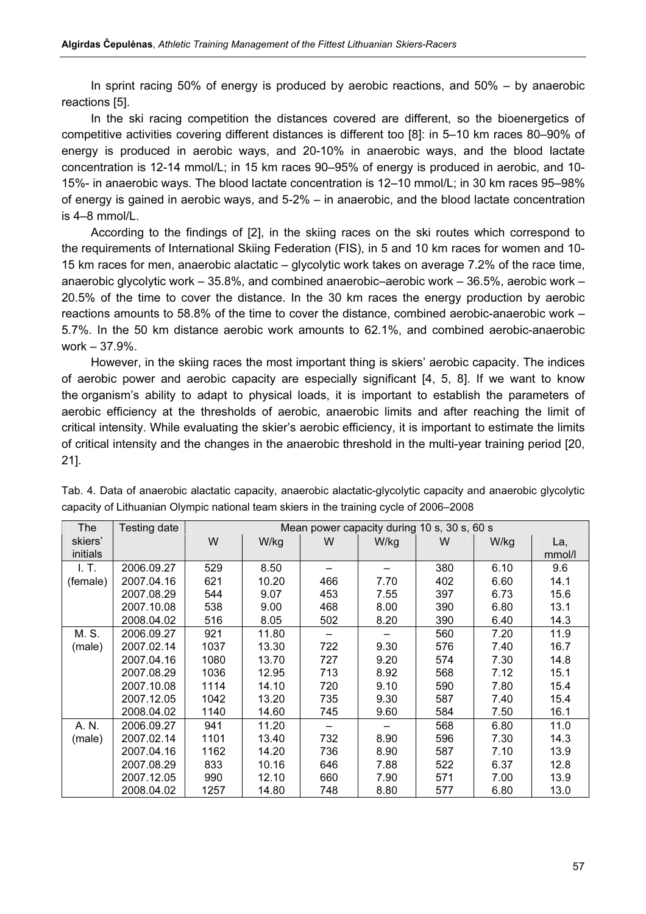In sprint racing 50% of energy is produced by aerobic reactions, and 50% – by anaerobic reactions [5].

In the ski racing competition the distances covered are different, so the bioenergetics of competitive activities covering different distances is different too [8]: in 5–10 km races 80–90% of energy is produced in aerobic ways, and 20-10% in anaerobic ways, and the blood lactate concentration is 12-14 mmol/L; in 15 km races 90–95% of energy is produced in aerobic, and 10- 15%- in anaerobic ways. The blood lactate concentration is 12–10 mmol/L; in 30 km races 95–98% of energy is gained in aerobic ways, and 5-2% – in anaerobic, and the blood lactate concentration is 4–8 mmol/L.

According to the findings of [2], in the skiing races on the ski routes which correspond to the requirements of International Skiing Federation (FIS), in 5 and 10 km races for women and 10- 15 km races for men, anaerobic alactatic – glycolytic work takes on average 7.2% of the race time, anaerobic glycolytic work – 35.8%, and combined anaerobic–aerobic work – 36.5%, aerobic work – 20.5% of the time to cover the distance. In the 30 km races the energy production by aerobic reactions amounts to 58.8% of the time to cover the distance, combined aerobic-anaerobic work – 5.7%. In the 50 km distance aerobic work amounts to 62.1%, and combined aerobic-anaerobic work – 37.9%.

However, in the skiing races the most important thing is skiers' aerobic capacity. The indices of aerobic power and aerobic capacity are especially significant [4, 5, 8]. If we want to know the organism's ability to adapt to physical loads, it is important to establish the parameters of aerobic efficiency at the thresholds of aerobic, anaerobic limits and after reaching the limit of critical intensity. While evaluating the skier's aerobic efficiency, it is important to estimate the limits of critical intensity and the changes in the anaerobic threshold in the multi-year training period [20, 21].

| The      | Testing date |      | Mean power capacity during 10 s, 30 s, 60 s |     |      |     |      |        |  |  |  |
|----------|--------------|------|---------------------------------------------|-----|------|-----|------|--------|--|--|--|
| skiers'  |              | W    | W/kg                                        | W   | W/kg | W   | W/kg | La,    |  |  |  |
| initials |              |      |                                             |     |      |     |      | mmol/l |  |  |  |
| I. T.    | 2006.09.27   | 529  | 8.50                                        |     |      | 380 | 6.10 | 9.6    |  |  |  |
| (female) | 2007.04.16   | 621  | 10.20                                       | 466 | 7.70 | 402 | 6.60 | 14.1   |  |  |  |
|          | 2007.08.29   | 544  | 9.07                                        | 453 | 7.55 | 397 | 6.73 | 15.6   |  |  |  |
|          | 2007.10.08   | 538  | 9.00                                        | 468 | 8.00 | 390 | 6.80 | 13.1   |  |  |  |
|          | 2008.04.02   | 516  | 8.05                                        | 502 | 8.20 | 390 | 6.40 | 14.3   |  |  |  |
| M. S.    | 2006.09.27   | 921  | 11.80                                       |     |      | 560 | 7.20 | 11.9   |  |  |  |
| (male)   | 2007.02.14   | 1037 | 13.30                                       | 722 | 9.30 | 576 | 7.40 | 16.7   |  |  |  |
|          | 2007.04.16   | 1080 | 13.70                                       | 727 | 9.20 | 574 | 7.30 | 14.8   |  |  |  |
|          | 2007.08.29   | 1036 | 12.95                                       | 713 | 8.92 | 568 | 7.12 | 15.1   |  |  |  |
|          | 2007.10.08   | 1114 | 14.10                                       | 720 | 9.10 | 590 | 7.80 | 15.4   |  |  |  |
|          | 2007.12.05   | 1042 | 13.20                                       | 735 | 9.30 | 587 | 7.40 | 15.4   |  |  |  |
|          | 2008.04.02   | 1140 | 14.60                                       | 745 | 9.60 | 584 | 7.50 | 16.1   |  |  |  |
| A. N.    | 2006.09.27   | 941  | 11.20                                       |     |      | 568 | 6.80 | 11.0   |  |  |  |
| (male)   | 2007.02.14   | 1101 | 13.40                                       | 732 | 8.90 | 596 | 7.30 | 14.3   |  |  |  |
|          | 2007.04.16   | 1162 | 14.20                                       | 736 | 8.90 | 587 | 7.10 | 13.9   |  |  |  |
|          | 2007.08.29   | 833  | 10.16                                       | 646 | 7.88 | 522 | 6.37 | 12.8   |  |  |  |
|          | 2007.12.05   | 990  | 12.10                                       | 660 | 7.90 | 571 | 7.00 | 13.9   |  |  |  |
|          | 2008.04.02   | 1257 | 14.80                                       | 748 | 8.80 | 577 | 6.80 | 13.0   |  |  |  |

Tab. 4. Data of anaerobic alactatic capacity, anaerobic alactatic-glycolytic capacity and anaerobic glycolytic capacity of Lithuanian Olympic national team skiers in the training cycle of 2006–2008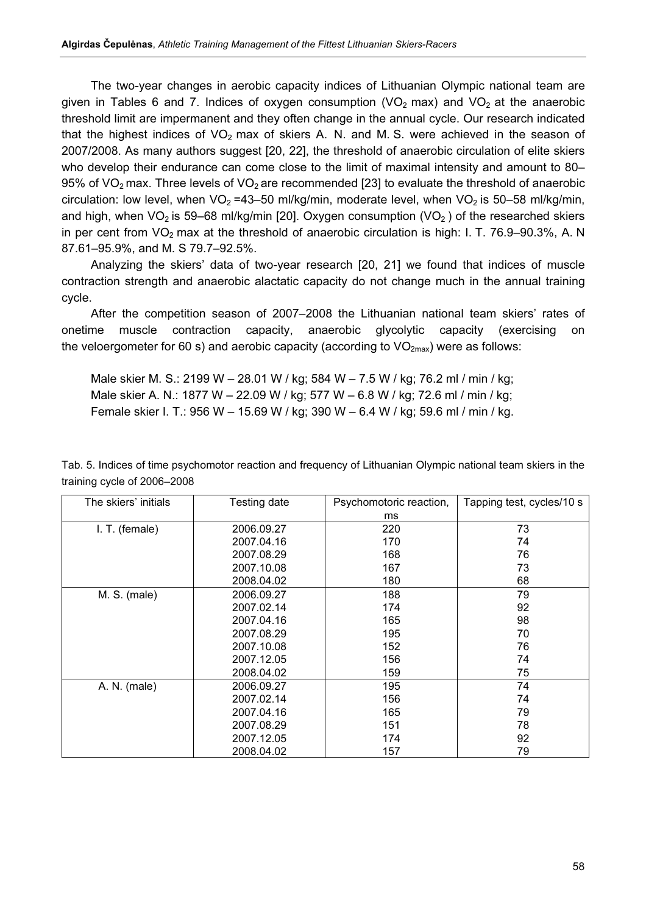The two-year changes in aerobic capacity indices of Lithuanian Olympic national team are given in Tables 6 and 7. Indices of oxygen consumption (VO<sub>2</sub> max) and VO<sub>2</sub> at the anaerobic threshold limit are impermanent and they often change in the annual cycle. Our research indicated that the highest indices of  $VO<sub>2</sub>$  max of skiers A. N. and M. S. were achieved in the season of 2007/2008. As many authors suggest [20, 22], the threshold of anaerobic circulation of elite skiers who develop their endurance can come close to the limit of maximal intensity and amount to 80– 95% of  $VO<sub>2</sub>$  max. Three levels of  $VO<sub>2</sub>$  are recommended [23] to evaluate the threshold of anaerobic circulation: low level, when  $VO_2 = 43-50$  ml/kg/min, moderate level, when  $VO_2$  is 50-58 ml/kg/min, and high, when  $\sqrt{O_2}$  is 59–68 ml/kg/min [20]. Oxygen consumption  $(\sqrt{O_2})$  of the researched skiers in per cent from  $VO<sub>2</sub>$  max at the threshold of anaerobic circulation is high: I. T. 76.9–90.3%, A. N 87.61–95.9%, and M. S 79.7–92.5%.

Analyzing the skiers' data of two-year research [20, 21] we found that indices of muscle contraction strength and anaerobic alactatic capacity do not change much in the annual training cycle.

After the competition season of 2007–2008 the Lithuanian national team skiers' rates of onetime muscle contraction capacity, anaerobic glycolytic capacity (exercising on the veloergometer for 60 s) and aerobic capacity (according to  $VO_{2max}$ ) were as follows:

Male skier M. S.: 2199 W – 28.01 W / kg; 584 W – 7.5 W / kg; 76.2 ml / min / kg; Male skier A. N.: 1877 W – 22.09 W / kg; 577 W – 6.8 W / kg; 72.6 ml / min / kg; Female skier I. T.: 956 W – 15.69 W / kg; 390 W – 6.4 W / kg; 59.6 ml / min / kg.

Tab. 5. Indices of time psychomotor reaction and frequency of Lithuanian Olympic national team skiers in the training cycle of 2006–2008

| The skiers' initials | Testing date | Psychomotoric reaction, | Tapping test, cycles/10 s |
|----------------------|--------------|-------------------------|---------------------------|
|                      |              | ms                      |                           |
| I. T. (female)       | 2006.09.27   | 220                     | 73                        |
|                      | 2007.04.16   | 170                     | 74                        |
|                      | 2007.08.29   | 168                     | 76                        |
|                      | 2007.10.08   | 167                     | 73                        |
|                      | 2008.04.02   | 180                     | 68                        |
| M. S. (male)         | 2006.09.27   | 188                     | 79                        |
|                      | 2007.02.14   | 174                     | 92                        |
|                      | 2007.04.16   | 165                     | 98                        |
|                      | 2007.08.29   | 195                     | 70                        |
|                      | 2007.10.08   | 152                     | 76                        |
|                      | 2007.12.05   | 156                     | 74                        |
|                      | 2008.04.02   | 159                     | 75                        |
| A. N. (male)         | 2006.09.27   | 195                     | 74                        |
|                      | 2007.02.14   | 156                     | 74                        |
|                      | 2007.04.16   | 165                     | 79                        |
|                      | 2007.08.29   | 151                     | 78                        |
|                      | 2007.12.05   | 174                     | 92                        |
|                      | 2008.04.02   | 157                     | 79                        |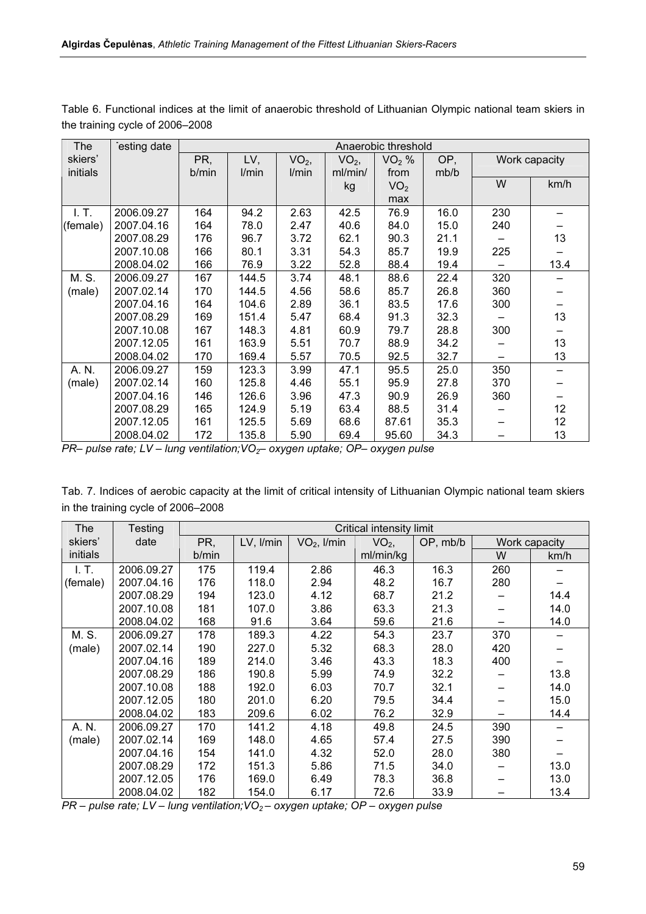| <b>The</b> | esting date |       | Anaerobic threshold |         |         |                 |      |     |                 |  |
|------------|-------------|-------|---------------------|---------|---------|-----------------|------|-----|-----------------|--|
| skiers'    |             | PR,   | LV,                 | $VO2$ , | $VO2$ , | $VO2$ %         | OP,  |     | Work capacity   |  |
| initials   |             | b/min | l/min               | l/min   | ml/min/ | from            | mb/b |     |                 |  |
|            |             |       |                     |         | kg      | VO <sub>2</sub> |      | W   | km/h            |  |
|            |             |       |                     |         |         | max             |      |     |                 |  |
| I.T.       | 2006.09.27  | 164   | 94.2                | 2.63    | 42.5    | 76.9            | 16.0 | 230 |                 |  |
| (female)   | 2007.04.16  | 164   | 78.0                | 2.47    | 40.6    | 84.0            | 15.0 | 240 |                 |  |
|            | 2007.08.29  | 176   | 96.7                | 3.72    | 62.1    | 90.3            | 21.1 |     | 13              |  |
|            | 2007.10.08  | 166   | 80.1                | 3.31    | 54.3    | 85.7            | 19.9 | 225 |                 |  |
|            | 2008.04.02  | 166   | 76.9                | 3.22    | 52.8    | 88.4            | 19.4 |     | 13.4            |  |
| M. S.      | 2006.09.27  | 167   | 144.5               | 3.74    | 48.1    | 88.6            | 22.4 | 320 |                 |  |
| (male)     | 2007.02.14  | 170   | 144.5               | 4.56    | 58.6    | 85.7            | 26.8 | 360 |                 |  |
|            | 2007.04.16  | 164   | 104.6               | 2.89    | 36.1    | 83.5            | 17.6 | 300 |                 |  |
|            | 2007.08.29  | 169   | 151.4               | 5.47    | 68.4    | 91.3            | 32.3 |     | 13              |  |
|            | 2007.10.08  | 167   | 148.3               | 4.81    | 60.9    | 79.7            | 28.8 | 300 |                 |  |
|            | 2007.12.05  | 161   | 163.9               | 5.51    | 70.7    | 88.9            | 34.2 |     | 13              |  |
|            | 2008.04.02  | 170   | 169.4               | 5.57    | 70.5    | 92.5            | 32.7 |     | 13              |  |
| A. N.      | 2006.09.27  | 159   | 123.3               | 3.99    | 47.1    | 95.5            | 25.0 | 350 |                 |  |
| (male)     | 2007.02.14  | 160   | 125.8               | 4.46    | 55.1    | 95.9            | 27.8 | 370 |                 |  |
|            | 2007.04.16  | 146   | 126.6               | 3.96    | 47.3    | 90.9            | 26.9 | 360 |                 |  |
|            | 2007.08.29  | 165   | 124.9               | 5.19    | 63.4    | 88.5            | 31.4 |     | 12              |  |
|            | 2007.12.05  | 161   | 125.5               | 5.69    | 68.6    | 87.61           | 35.3 |     | 12 <sub>2</sub> |  |
|            | 2008.04.02  | 172   | 135.8               | 5.90    | 69.4    | 95.60           | 34.3 |     | 13              |  |

Table 6. Functional indices at the limit of anaerobic threshold of Lithuanian Olympic national team skiers in the training cycle of 2006–2008

PR– pulse rate; LV – lung ventilation;VO $_2$ – oxygen uptake; OP– oxygen pulse

| Tab. 7. Indices of aerobic capacity at the limit of critical intensity of Lithuanian Olympic national team skiers |  |  |  |  |  |
|-------------------------------------------------------------------------------------------------------------------|--|--|--|--|--|
| in the training cycle of 2006-2008                                                                                |  |  |  |  |  |

| The      | Testing    | Critical intensity limit |           |               |           |          |               |      |  |  |
|----------|------------|--------------------------|-----------|---------------|-----------|----------|---------------|------|--|--|
| skiers'  | date       | PR,                      | LV, I/min | $VO2$ , I/min | $VO2$ ,   | OP, mb/b | Work capacity |      |  |  |
| initials |            | b/min                    |           |               | ml/min/kg |          | W             | km/h |  |  |
| I. T.    | 2006.09.27 | 175                      | 119.4     | 2.86          | 46.3      | 16.3     | 260           |      |  |  |
| (female) | 2007.04.16 | 176                      | 118.0     | 2.94          | 48.2      | 16.7     | 280           |      |  |  |
|          | 2007.08.29 | 194                      | 123.0     | 4.12          | 68.7      | 21.2     |               | 14.4 |  |  |
|          | 2007.10.08 | 181                      | 107.0     | 3.86          | 63.3      | 21.3     |               | 14.0 |  |  |
|          | 2008.04.02 | 168                      | 91.6      | 3.64          | 59.6      | 21.6     |               | 14.0 |  |  |
| M. S.    | 2006.09.27 | 178                      | 189.3     | 4.22          | 54.3      | 23.7     | 370           |      |  |  |
| (male)   | 2007.02.14 | 190                      | 227.0     | 5.32          | 68.3      | 28.0     | 420           |      |  |  |
|          | 2007.04.16 | 189                      | 214.0     | 3.46          | 43.3      | 18.3     | 400           |      |  |  |
|          | 2007.08.29 | 186                      | 190.8     | 5.99          | 74.9      | 32.2     |               | 13.8 |  |  |
|          | 2007.10.08 | 188                      | 192.0     | 6.03          | 70.7      | 32.1     |               | 14.0 |  |  |
|          | 2007.12.05 | 180                      | 201.0     | 6.20          | 79.5      | 34.4     |               | 15.0 |  |  |
|          | 2008.04.02 | 183                      | 209.6     | 6.02          | 76.2      | 32.9     |               | 14.4 |  |  |
| A. N.    | 2006.09.27 | 170                      | 141.2     | 4.18          | 49.8      | 24.5     | 390           |      |  |  |
| (male)   | 2007.02.14 | 169                      | 148.0     | 4.65          | 57.4      | 27.5     | 390           |      |  |  |
|          | 2007.04.16 | 154                      | 141.0     | 4.32          | 52.0      | 28.0     | 380           |      |  |  |
|          | 2007.08.29 | 172                      | 151.3     | 5.86          | 71.5      | 34.0     |               | 13.0 |  |  |
|          | 2007.12.05 | 176                      | 169.0     | 6.49          | 78.3      | 36.8     |               | 13.0 |  |  |
|          | 2008.04.02 | 182                      | 154.0     | 6.17          | 72.6      | 33.9     |               | 13.4 |  |  |

 $PR$  – pulse rate; LV – lung ventilation;VO $_2$ – oxygen uptake; OP – oxygen pulse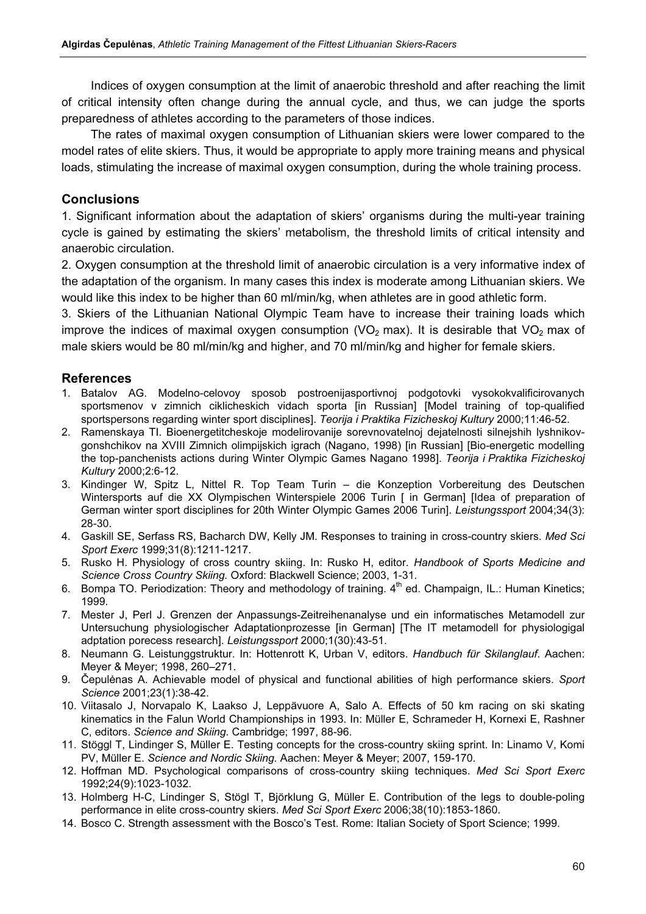Indices of oxygen consumption at the limit of anaerobic threshold and after reaching the limit of critical intensity often change during the annual cycle, and thus, we can judge the sports preparedness of athletes according to the parameters of those indices.

The rates of maximal oxygen consumption of Lithuanian skiers were lower compared to the model rates of elite skiers. Thus, it would be appropriate to apply more training means and physical loads, stimulating the increase of maximal oxygen consumption, during the whole training process.

## **Conclusions**

1. Significant information about the adaptation of skiers' organisms during the multi-year training cycle is gained by estimating the skiers' metabolism, the threshold limits of critical intensity and anaerobic circulation.

2. Oxygen consumption at the threshold limit of anaerobic circulation is a very informative index of the adaptation of the organism. In many cases this index is moderate among Lithuanian skiers. We would like this index to be higher than 60 ml/min/kg, when athletes are in good athletic form.

3. Skiers of the Lithuanian National Olympic Team have to increase their training loads which improve the indices of maximal oxygen consumption (VO<sub>2</sub> max). It is desirable that VO<sub>2</sub> max of male skiers would be 80 ml/min/kg and higher, and 70 ml/min/kg and higher for female skiers.

## References

- 1. Batalov AG. Modelno-celovoy sposob postroenijasportivnoj podgotovki vysokokvalificirovanych sportsmenov v zimnich ciklicheskich vidach sporta [in Russian] [Model training of top-qualified sportspersons regarding winter sport disciplines]. Teorija i Praktika Fizicheskoj Kultury 2000;11:46-52.
- 2. Ramenskaya TI. Bioenergetitcheskoje modelirovanije sorevnovatelnoj dejatelnosti silnejshih lyshnikovgonshchikov na XVIII Zimnich olimpijskich igrach (Nagano, 1998) [in Russian] [Bio-energetic modelling the top-panchenists actions during Winter Olympic Games Nagano 1998]. Teorija i Praktika Fizicheskoj Kultury 2000;2:6-12.
- 3. Kindinger W, Spitz L, Nittel R. Top Team Turin die Konzeption Vorbereitung des Deutschen Wintersports auf die XX Olympischen Winterspiele 2006 Turin [ in German] [Idea of preparation of German winter sport disciplines for 20th Winter Olympic Games 2006 Turin]. Leistungssport 2004;34(3): 28-30.
- 4. Gaskill SE, Serfass RS, Bacharch DW, Kelly JM. Responses to training in cross-country skiers. Med Sci Sport Exerc 1999;31(8):1211-1217.
- 5. Rusko H. Physiology of cross country skiing. In: Rusko H, editor. Handbook of Sports Medicine and Science Cross Country Skiing. Oxford: Blackwell Science; 2003, 1-31.
- 6. Bompa TO. Periodization: Theory and methodology of training.  $4<sup>th</sup>$  ed. Champaign, IL.: Human Kinetics; 1999.
- 7. Mester J, Perl J. Grenzen der Anpassungs-Zeitreihenanalyse und ein informatisches Metamodell zur Untersuchung physiologischer Adaptationprozesse [in German] [The IT metamodell for physiologigal adptation porecess research]. Leistungssport 2000;1(30):43-51.
- 8. Neumann G. Leistunggstruktur. In: Hottenrott K, Urban V, editors. Handbuch für Skilanglauf. Aachen: Meyer & Meyer; 1998, 260–271.
- 9. Čepulėnas A. Achievable model of physical and functional abilities of high performance skiers. Sport Science 2001;23(1):38-42.
- 10. Viitasalo J, Norvapalo K, Laakso J, Leppävuore A, Salo A. Effects of 50 km racing on ski skating kinematics in the Falun World Championships in 1993. In: Müller E, Schrameder H, Kornexi E, Rashner C, editors. Science and Skiing. Cambridge; 1997, 88-96.
- 11. Stöggl T, Lindinger S, Müller E. Testing concepts for the cross-country skiing sprint. In: Linamo V, Komi PV, Müller E. Science and Nordic Skiing. Aachen: Meyer & Meyer; 2007, 159-170.
- 12. Hoffman MD. Psychological comparisons of cross-country skiing techniques. Med Sci Sport Exerc 1992;24(9):1023-1032.
- 13. Holmberg H-C, Lindinger S, Stögl T, Björklung G, Müller E. Contribution of the legs to double-poling performance in elite cross-country skiers. Med Sci Sport Exerc 2006;38(10):1853-1860.
- 14. Bosco C. Strength assessment with the Bosco's Test. Rome: Italian Society of Sport Science; 1999.